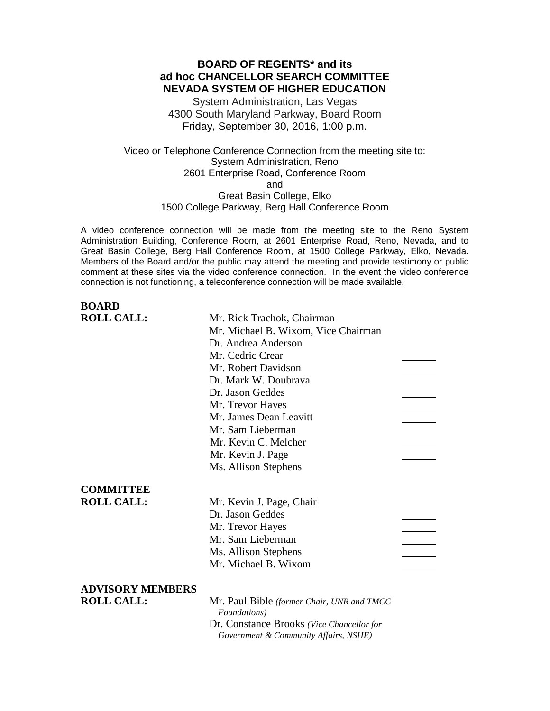# **BOARD OF REGENTS\* and its ad hoc CHANCELLOR SEARCH COMMITTEE NEVADA SYSTEM OF HIGHER EDUCATION**

System Administration, Las Vegas 4300 South Maryland Parkway, Board Room Friday, September 30, 2016, 1:00 p.m.

Video or Telephone Conference Connection from the meeting site to: System Administration, Reno 2601 Enterprise Road, Conference Room and Great Basin College, Elko 1500 College Parkway, Berg Hall Conference Room

A video conference connection will be made from the meeting site to the Reno System Administration Building, Conference Room, at 2601 Enterprise Road, Reno, Nevada, and to Great Basin College, Berg Hall Conference Room, at 1500 College Parkway, Elko, Nevada. Members of the Board and/or the public may attend the meeting and provide testimony or public comment at these sites via the video conference connection. In the event the video conference connection is not functioning, a teleconference connection will be made available.

| <b>BOARD</b>            |                                            |  |
|-------------------------|--------------------------------------------|--|
| <b>ROLL CALL:</b>       | Mr. Rick Trachok, Chairman                 |  |
|                         | Mr. Michael B. Wixom, Vice Chairman        |  |
|                         | Dr. Andrea Anderson                        |  |
|                         | Mr. Cedric Crear                           |  |
|                         | Mr. Robert Davidson                        |  |
|                         | Dr. Mark W. Doubrava                       |  |
|                         | Dr. Jason Geddes                           |  |
|                         | Mr. Trevor Hayes                           |  |
|                         | Mr. James Dean Leavitt                     |  |
|                         | Mr. Sam Lieberman                          |  |
|                         | Mr. Kevin C. Melcher                       |  |
|                         | Mr. Kevin J. Page                          |  |
|                         | Ms. Allison Stephens                       |  |
| <b>COMMITTEE</b>        |                                            |  |
| <b>ROLL CALL:</b>       | Mr. Kevin J. Page, Chair                   |  |
|                         | Dr. Jason Geddes                           |  |
|                         | Mr. Trevor Hayes                           |  |
|                         | Mr. Sam Lieberman                          |  |
|                         | Ms. Allison Stephens                       |  |
|                         | Mr. Michael B. Wixom                       |  |
|                         |                                            |  |
| <b>ADVISORY MEMBERS</b> |                                            |  |
| <b>ROLL CALL:</b>       | Mr. Paul Bible (former Chair, UNR and TMCC |  |
|                         | Foundations)                               |  |
|                         | Dr. Constance Brooks (Vice Chancellor for  |  |
|                         | Government & Community Affairs, NSHE)      |  |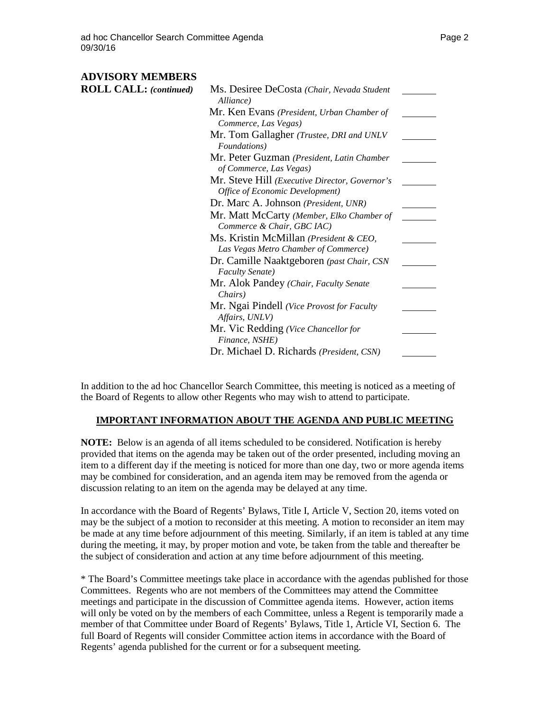# **ADVISORY MEMBERS**

| <b>ROLL CALL:</b> (continued) | Ms. Desiree DeCosta (Chair, Nevada Student<br>Alliance)      |  |
|-------------------------------|--------------------------------------------------------------|--|
|                               | Mr. Ken Evans (President, Urban Chamber of                   |  |
|                               | Commerce, Las Vegas)                                         |  |
|                               | Mr. Tom Gallagher (Trustee, DRI and UNLV                     |  |
|                               | Foundations)                                                 |  |
|                               | Mr. Peter Guzman (President, Latin Chamber                   |  |
|                               | of Commerce, Las Vegas)                                      |  |
|                               | Mr. Steve Hill (Executive Director, Governor's               |  |
|                               | Office of Economic Development)                              |  |
|                               | Dr. Marc A. Johnson (President, UNR)                         |  |
|                               | Mr. Matt McCarty (Member, Elko Chamber of                    |  |
|                               | Commerce & Chair, GBC IAC)                                   |  |
|                               | Ms. Kristin McMillan (President & CEO,                       |  |
|                               | Las Vegas Metro Chamber of Commerce)                         |  |
|                               | Dr. Camille Naaktgeboren (past Chair, CSN                    |  |
|                               | <b>Faculty Senate</b> )                                      |  |
|                               | Mr. Alok Pandey (Chair, Faculty Senate<br>Chairs)            |  |
|                               | Mr. Ngai Pindell (Vice Provost for Faculty<br>Affairs, UNLV) |  |
|                               | Mr. Vic Redding (Vice Chancellor for<br>Finance, NSHE)       |  |
|                               | Dr. Michael D. Richards (President, CSN)                     |  |

In addition to the ad hoc Chancellor Search Committee, this meeting is noticed as a meeting of the Board of Regents to allow other Regents who may wish to attend to participate.

#### **IMPORTANT INFORMATION ABOUT THE AGENDA AND PUBLIC MEETING**

**NOTE:** Below is an agenda of all items scheduled to be considered. Notification is hereby provided that items on the agenda may be taken out of the order presented, including moving an item to a different day if the meeting is noticed for more than one day, two or more agenda items may be combined for consideration, and an agenda item may be removed from the agenda or discussion relating to an item on the agenda may be delayed at any time.

In accordance with the Board of Regents' Bylaws, Title I, Article V, Section 20, items voted on may be the subject of a motion to reconsider at this meeting. A motion to reconsider an item may be made at any time before adjournment of this meeting. Similarly, if an item is tabled at any time during the meeting, it may, by proper motion and vote, be taken from the table and thereafter be the subject of consideration and action at any time before adjournment of this meeting.

\* The Board's Committee meetings take place in accordance with the agendas published for those Committees. Regents who are not members of the Committees may attend the Committee meetings and participate in the discussion of Committee agenda items. However, action items will only be voted on by the members of each Committee, unless a Regent is temporarily made a member of that Committee under Board of Regents' Bylaws, Title 1, Article VI, Section 6. The full Board of Regents will consider Committee action items in accordance with the Board of Regents' agenda published for the current or for a subsequent meeting.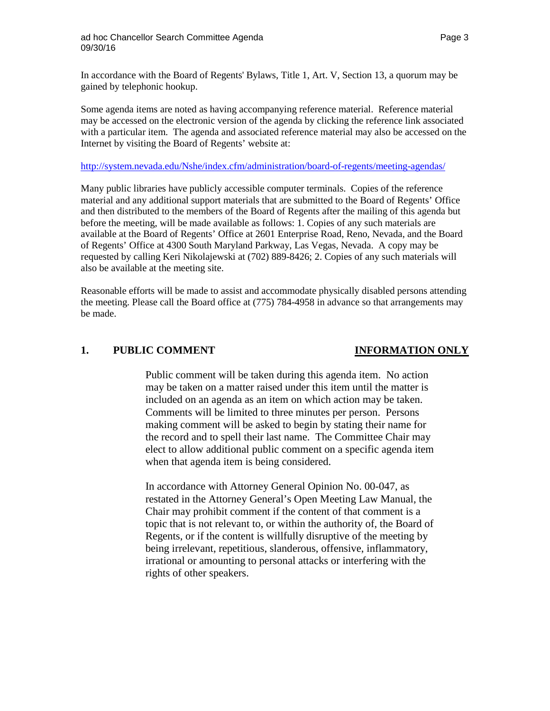In accordance with the Board of Regents' Bylaws, Title 1, Art. V, Section 13, a quorum may be gained by telephonic hookup.

Some agenda items are noted as having accompanying reference material. Reference material may be accessed on the electronic version of the agenda by clicking the reference link associated with a particular item. The agenda and associated reference material may also be accessed on the Internet by visiting the Board of Regents' website at:

#### <http://system.nevada.edu/Nshe/index.cfm/administration/board-of-regents/meeting-agendas/>

Many public libraries have publicly accessible computer terminals. Copies of the reference material and any additional support materials that are submitted to the Board of Regents' Office and then distributed to the members of the Board of Regents after the mailing of this agenda but before the meeting, will be made available as follows: 1. Copies of any such materials are available at the Board of Regents' Office at 2601 Enterprise Road, Reno, Nevada, and the Board of Regents' Office at 4300 South Maryland Parkway, Las Vegas, Nevada. A copy may be requested by calling Keri Nikolajewski at (702) 889-8426; 2. Copies of any such materials will also be available at the meeting site.

Reasonable efforts will be made to assist and accommodate physically disabled persons attending the meeting. Please call the Board office at (775) 784-4958 in advance so that arrangements may be made.

#### **1. PUBLIC COMMENT INFORMATION ONLY**

Public comment will be taken during this agenda item. No action may be taken on a matter raised under this item until the matter is included on an agenda as an item on which action may be taken. Comments will be limited to three minutes per person. Persons making comment will be asked to begin by stating their name for the record and to spell their last name. The Committee Chair may elect to allow additional public comment on a specific agenda item when that agenda item is being considered.

In accordance with Attorney General Opinion No. 00-047, as restated in the Attorney General's Open Meeting Law Manual, the Chair may prohibit comment if the content of that comment is a topic that is not relevant to, or within the authority of, the Board of Regents, or if the content is willfully disruptive of the meeting by being irrelevant, repetitious, slanderous, offensive, inflammatory, irrational or amounting to personal attacks or interfering with the rights of other speakers.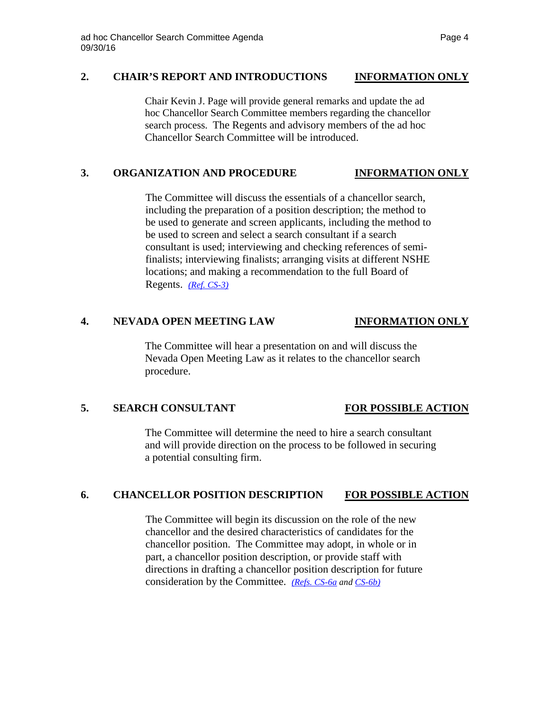## **2. CHAIR'S REPORT AND INTRODUCTIONS INFORMATION ONLY**

Chair Kevin J. Page will provide general remarks and update the ad hoc Chancellor Search Committee members regarding the chancellor search process. The Regents and advisory members of the ad hoc Chancellor Search Committee will be introduced.

## **3. ORGANIZATION AND PROCEDURE INFORMATION ONLY**

The Committee will discuss the essentials of a chancellor search, including the preparation of a position description; the method to be used to generate and screen applicants, including the method to be used to screen and select a search consultant if a search consultant is used; interviewing and checking references of semifinalists; interviewing finalists; arranging visits at different NSHE locations; and making a recommendation to the full Board of Regents. *[\(Ref. CS-3\)](http://system.nevada.edu/tasks/sites/Nshe/assets/File/BoardOfRegents/Agendas/2016/sept-mtgs/cs-ref/CS-3.pdf)*

## **4. NEVADA OPEN MEETING LAW INFORMATION ONLY**

The Committee will hear a presentation on and will discuss the Nevada Open Meeting Law as it relates to the chancellor search procedure.

## **5. SEARCH CONSULTANT FOR POSSIBLE ACTION**

The Committee will determine the need to hire a search consultant and will provide direction on the process to be followed in securing a potential consulting firm.

## **6. CHANCELLOR POSITION DESCRIPTION FOR POSSIBLE ACTION**

The Committee will begin its discussion on the role of the new chancellor and the desired characteristics of candidates for the chancellor position. The Committee may adopt, in whole or in part, a chancellor position description, or provide staff with directions in drafting a chancellor position description for future consideration by the Committee. *[\(Refs. CS-6a](http://system.nevada.edu/tasks/sites/Nshe/assets/File/BoardOfRegents/Agendas/2016/sept-mtgs/cs-ref/CS-6a.pdf) and [CS-6b\)](http://system.nevada.edu/tasks/sites/Nshe/assets/File/BoardOfRegents/Agendas/2016/sept-mtgs/cs-ref/CS-6b.pdf)*